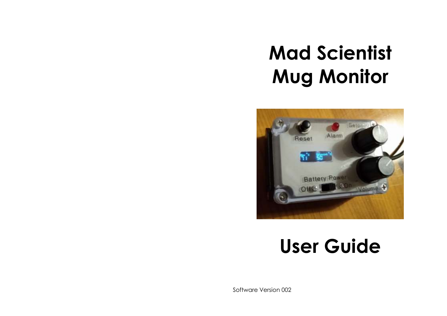# **Mad Scientist Mug Monitor**



## **User Guide**

Software Version 002